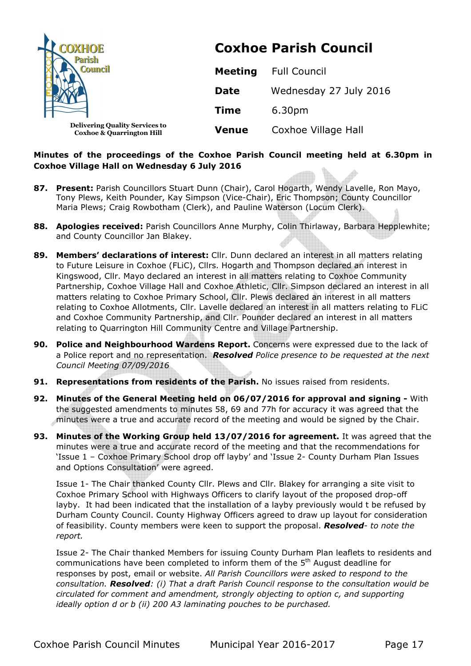| COXHOE<br><b>Parish</b><br><b>Council</b>                          |                | <b>Coxhoe Parish Council</b> |
|--------------------------------------------------------------------|----------------|------------------------------|
|                                                                    | <b>Meeting</b> | <b>Full Council</b>          |
|                                                                    | <b>Date</b>    | Wednesday 27 July 2016       |
|                                                                    | <b>Time</b>    | 6.30pm                       |
| <b>Delivering Quality Services to</b><br>Coxhoe & Quarrington Hill | <b>Venue</b>   | Coxhoe Village Hall          |

# **Minutes of the proceedings of the Coxhoe Parish Council meeting held at 6.30pm in Coxhoe Village Hall on Wednesday 6 July 2016**

- **87. Present:** Parish Councillors Stuart Dunn (Chair), Carol Hogarth, Wendy Lavelle, Ron Mayo, Tony Plews, Keith Pounder, Kay Simpson (Vice-Chair), Eric Thompson; County Councillor Maria Plews; Craig Rowbotham (Clerk), and Pauline Waterson (Locum Clerk).
- **88. Apologies received:** Parish Councillors Anne Murphy, Colin Thirlaway, Barbara Hepplewhite; and County Councillor Jan Blakey.
- **89. Members' declarations of interest:** Cllr. Dunn declared an interest in all matters relating to Future Leisure in Coxhoe (FLiC), Cllrs. Hogarth and Thompson declared an interest in Kingswood, Cllr. Mayo declared an interest in all matters relating to Coxhoe Community Partnership, Coxhoe Village Hall and Coxhoe Athletic, Cllr. Simpson declared an interest in all matters relating to Coxhoe Primary School, Cllr. Plews declared an interest in all matters relating to Coxhoe Allotments, Cllr. Lavelle declared an interest in all matters relating to FLiC and Coxhoe Community Partnership, and Cllr. Pounder declared an interest in all matters relating to Quarrington Hill Community Centre and Village Partnership.
- **90. Police and Neighbourhood Wardens Report.** Concerns were expressed due to the lack of a Police report and no representation. *Resolved Police presence to be requested at the next Council Meeting 07/09/2016*
- **91. Representations from residents of the Parish.** No issues raised from residents.
- **92. Minutes of the General Meeting held on 06/07/2016 for approval and signing** With the suggested amendments to minutes 58, 69 and 77h for accuracy it was agreed that the minutes were a true and accurate record of the meeting and would be signed by the Chair.
- **93. Minutes of the Working Group held 13/07/2016 for agreement.** It was agreed that the minutes were a true and accurate record of the meeting and that the recommendations for 'Issue 1 – Coxhoe Primary School drop off layby' and 'Issue 2- County Durham Plan Issues and Options Consultation' were agreed.

Issue 1- The Chair thanked County Cllr. Plews and Cllr. Blakey for arranging a site visit to Coxhoe Primary School with Highways Officers to clarify layout of the proposed drop-off layby. It had been indicated that the installation of a layby previously would t be refused by Durham County Council. County Highway Officers agreed to draw up layout for consideration of feasibility. County members were keen to support the proposal. *Resolved- to note the report.*

Issue 2- The Chair thanked Members for issuing County Durham Plan leaflets to residents and communications have been completed to inform them of the 5<sup>th</sup> August deadline for responses by post, email or website. *All Parish Councillors were asked to respond to the consultation. Resolved: (i) That a draft Parish Council response to the consultation would be circulated for comment and amendment, strongly objecting to option c, and supporting ideally option d or b (ii) 200 A3 laminating pouches to be purchased.*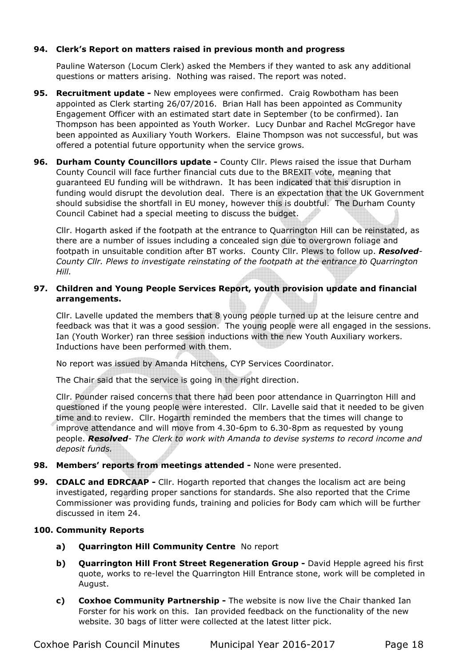# **94. Clerk's Report on matters raised in previous month and progress**

Pauline Waterson (Locum Clerk) asked the Members if they wanted to ask any additional questions or matters arising. Nothing was raised. The report was noted.

- **95. Recruitment update** New employees were confirmed. Craig Rowbotham has been appointed as Clerk starting 26/07/2016. Brian Hall has been appointed as Community Engagement Officer with an estimated start date in September (to be confirmed). Ian Thompson has been appointed as Youth Worker. Lucy Dunbar and Rachel McGregor have been appointed as Auxiliary Youth Workers. Elaine Thompson was not successful, but was offered a potential future opportunity when the service grows.
- **96. Durham County Councillors update** County Cllr. Plews raised the issue that Durham County Council will face further financial cuts due to the BREXIT vote, meaning that guaranteed EU funding will be withdrawn. It has been indicated that this disruption in funding would disrupt the devolution deal. There is an expectation that the UK Government should subsidise the shortfall in EU money, however this is doubtful. The Durham County Council Cabinet had a special meeting to discuss the budget.

Cllr. Hogarth asked if the footpath at the entrance to Quarrington Hill can be reinstated, as there are a number of issues including a concealed sign due to overgrown foliage and footpath in unsuitable condition after BT works. County Cllr. Plews to follow up. *Resolved-County Cllr. Plews to investigate reinstating of the footpath at the entrance to Quarrington Hill.* 

# **97. Children and Young People Services Report, youth provision update and financial arrangements.**

Cllr. Lavelle updated the members that 8 young people turned up at the leisure centre and feedback was that it was a good session. The young people were all engaged in the sessions. Ian (Youth Worker) ran three session inductions with the new Youth Auxiliary workers. Inductions have been performed with them.

No report was issued by Amanda Hitchens, CYP Services Coordinator.

The Chair said that the service is going in the right direction.

Cllr. Pounder raised concerns that there had been poor attendance in Quarrington Hill and questioned if the young people were interested. Cllr. Lavelle said that it needed to be given time and to review. Cllr. Hogarth reminded the members that the times will change to improve attendance and will move from 4.30-6pm to 6.30-8pm as requested by young people. *Resolved- The Clerk to work with Amanda to devise systems to record income and deposit funds.* 

- **98. Members' reports from meetings attended** None were presented.
- **99. CDALC and EDRCAAP -** Cllr. Hogarth reported that changes the localism act are being investigated, regarding proper sanctions for standards. She also reported that the Crime Commissioner was providing funds, training and policies for Body cam which will be further discussed in item 24.

# **100. Community Reports**

- **a) Quarrington Hill Community Centre** No report
- **b) Quarrington Hill Front Street Regeneration Group -** David Hepple agreed his first quote, works to re-level the Quarrington Hill Entrance stone, work will be completed in August.
- **c) Coxhoe Community Partnership** The website is now live the Chair thanked Ian Forster for his work on this. Ian provided feedback on the functionality of the new website. 30 bags of litter were collected at the latest litter pick.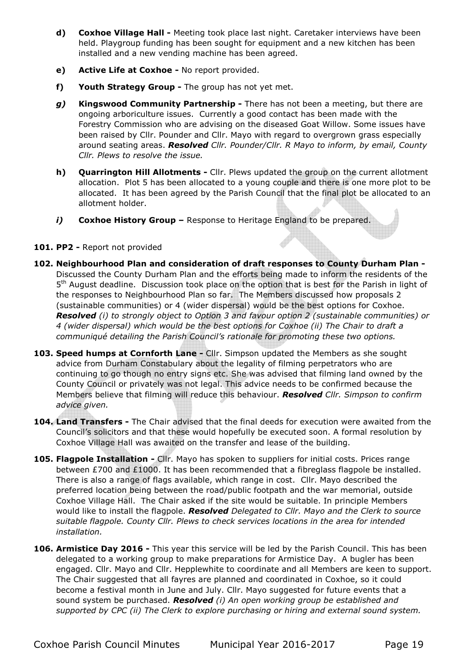- **d) Coxhoe Village Hall** Meeting took place last night. Caretaker interviews have been held. Playgroup funding has been sought for equipment and a new kitchen has been installed and a new vending machine has been agreed.
- **e) Active Life at Coxhoe** No report provided.
- **f) Youth Strategy Group** The group has not yet met.
- *g)* **Kingswood Community Partnership** There has not been a meeting, but there are ongoing arboriculture issues. Currently a good contact has been made with the Forestry Commission who are advising on the diseased Goat Willow. Some issues have been raised by Cllr. Pounder and Cllr. Mayo with regard to overgrown grass especially around seating areas. *Resolved Cllr. Pounder/Cllr. R Mayo to inform, by email, County Cllr. Plews to resolve the issue.*
- **h) Quarrington Hill Allotments** Cllr. Plews updated the group on the current allotment allocation. Plot 5 has been allocated to a young couple and there is one more plot to be allocated. It has been agreed by the Parish Council that the final plot be allocated to an allotment holder.
- *i)* **Coxhoe History Group** Response to Heritage England to be prepared.

# **101. PP2 -** Report not provided

- **102. Neighbourhood Plan and consideration of draft responses to County Durham Plan**  Discussed the County Durham Plan and the efforts being made to inform the residents of the 5<sup>th</sup> August deadline. Discussion took place on the option that is best for the Parish in light of the responses to Neighbourhood Plan so far. The Members discussed how proposals 2 (sustainable communities) or 4 (wider dispersal) would be the best options for Coxhoe. *Resolved (i) to strongly object to Option 3 and favour option 2 (sustainable communities) or 4 (wider dispersal) which would be the best options for Coxhoe (ii) The Chair to draft a communiqué detailing the Parish Council's rationale for promoting these two options.*
- **103. Speed humps at Cornforth Lane** Cllr. Simpson updated the Members as she sought advice from Durham Constabulary about the legality of filming perpetrators who are continuing to go though no entry signs etc. She was advised that filming land owned by the County Council or privately was not legal. This advice needs to be confirmed because the Members believe that filming will reduce this behaviour. *Resolved Cllr. Simpson to confirm advice given.*
- **104. Land Transfers** The Chair advised that the final deeds for execution were awaited from the Council's solicitors and that these would hopefully be executed soon. A formal resolution by Coxhoe Village Hall was awaited on the transfer and lease of the building.
- **105. Flagpole Installation** Cllr. Mayo has spoken to suppliers for initial costs. Prices range between £700 and £1000. It has been recommended that a fibreglass flagpole be installed. There is also a range of flags available, which range in cost. Cllr. Mayo described the preferred location being between the road/public footpath and the war memorial, outside Coxhoe Village Hall. The Chair asked if the site would be suitable. In principle Members would like to install the flagpole. *Resolved Delegated to Cllr. Mayo and the Clerk to source suitable flagpole. County Cllr. Plews to check services locations in the area for intended installation.*
- **106. Armistice Day 2016** This year this service will be led by the Parish Council. This has been delegated to a working group to make preparations for Armistice Day. A bugler has been engaged. Cllr. Mayo and Cllr. Hepplewhite to coordinate and all Members are keen to support. The Chair suggested that all fayres are planned and coordinated in Coxhoe, so it could become a festival month in June and July. Cllr. Mayo suggested for future events that a sound system be purchased. *Resolved (i) An open working group be established and supported by CPC (ii) The Clerk to explore purchasing or hiring and external sound system.*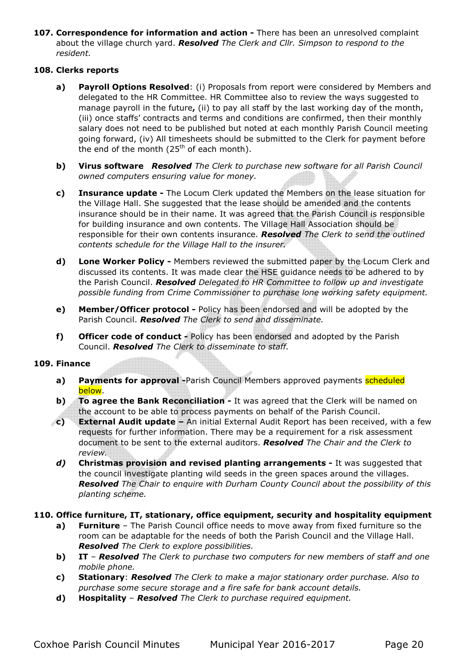**107. Correspondence for information and action -** There has been an unresolved complaint about the village church yard. *Resolved The Clerk and Cllr. Simpson to respond to the resident.* 

### **108. Clerks reports**

- **a) Payroll Options Resolved**: (i) Proposals from report were considered by Members and delegated to the HR Committee. HR Committee also to review the ways suggested to manage payroll in the future**,** (ii) to pay all staff by the last working day of the month, (iii) once staffs' contracts and terms and conditions are confirmed, then their monthly salary does not need to be published but noted at each monthly Parish Council meeting going forward, (iv) All timesheets should be submitted to the Clerk for payment before the end of the month  $(25<sup>th</sup>$  of each month).
- **b) Virus software** *Resolved The Clerk to purchase new software for all Parish Council owned computers ensuring value for money.*
- **c) Insurance update** The Locum Clerk updated the Members on the lease situation for the Village Hall. She suggested that the lease should be amended and the contents insurance should be in their name. It was agreed that the Parish Council is responsible for building insurance and own contents. The Village Hall Association should be responsible for their own contents insurance. *Resolved The Clerk to send the outlined contents schedule for the Village Hall to the insurer.*
- **d) Lone Worker Policy** Members reviewed the submitted paper by the Locum Clerk and discussed its contents. It was made clear the HSE guidance needs to be adhered to by the Parish Council. *Resolved Delegated to HR Committee to follow up and investigate possible funding from Crime Commissioner to purchase lone working safety equipment.*
- **e) Member/Officer protocol** Policy has been endorsed and will be adopted by the Parish Council. *Resolved The Clerk to send and disseminate.*
- **f) Officer code of conduct** Policy has been endorsed and adopted by the Parish Council. *Resolved The Clerk to disseminate to staff.*

#### **109. Finance**

- **a) Payments for approval** -Parish Council Members approved payments **scheduled** below.
- **b) To agree the Bank Reconciliation -** It was agreed that the Clerk will be named on the account to be able to process payments on behalf of the Parish Council.
- **c) External Audit update** An initial External Audit Report has been received, with a few requests for further information. There may be a requirement for a risk assessment document to be sent to the external auditors. *Resolved The Chair and the Clerk to review.*
- *d)* **Christmas provision and revised planting arrangements -** It was suggested that the council investigate planting wild seeds in the green spaces around the villages. *Resolved The Chair to enquire with Durham County Council about the possibility of this planting scheme.*

# **110. Office furniture, IT, stationary, office equipment, security and hospitality equipment**

- **a) Furniture** The Parish Council office needs to move away from fixed furniture so the room can be adaptable for the needs of both the Parish Council and the Village Hall. *Resolved The Clerk to explore possibilities.*
- **b) IT** *Resolved The Clerk to purchase two computers for new members of staff and one mobile phone.*
- **c) Stationary**: *Resolved The Clerk to make a major stationary order purchase. Also to purchase some secure storage and a fire safe for bank account details.*
- **d) Hospitality** *Resolved The Clerk to purchase required equipment.*